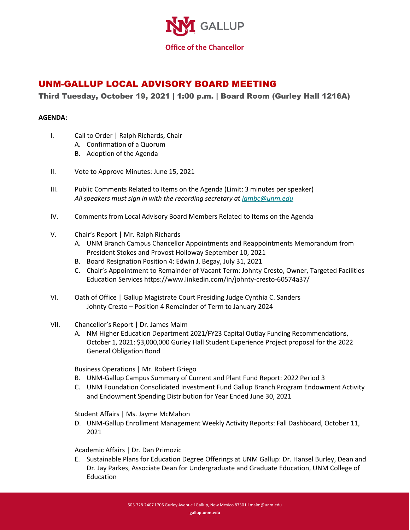

## UNM-GALLUP LOCAL ADVISORY BOARD MEETING

## Third Tuesday, October 19, 2021 | 1:00 p.m. | Board Room (Gurley Hall 1216A)

## **AGENDA:**

- I. Call to Order | Ralph Richards, Chair
	- A. Confirmation of a Quorum
	- B. Adoption of the Agenda
- II. Vote to Approve Minutes: June 15, 2021
- III. Public Comments Related to Items on the Agenda (Limit: 3 minutes per speaker) *All speakers must sign in with the recording secretary at [lambc@unm.edu](mailto:lambc@unm.edu)*
- IV. Comments from Local Advisory Board Members Related to Items on the Agenda
- V. Chair's Report | Mr. Ralph Richards
	- A. UNM Branch Campus Chancellor Appointments and Reappointments Memorandum from President Stokes and Provost Holloway September 10, 2021
	- B. Board Resignation Position 4: Edwin J. Begay, July 31, 2021
	- C. Chair's Appointment to Remainder of Vacant Term: Johnty Cresto, Owner, Targeted Facilities Education Services https://www.linkedin.com/in/johnty-cresto-60574a37/
- VI. Oath of Office | Gallup Magistrate Court Presiding Judge Cynthia C. Sanders Johnty Cresto – Position 4 Remainder of Term to January 2024
- VII. Chancellor's Report | Dr. James Malm
	- A. NM Higher Education Department 2021/FY23 Capital Outlay Funding Recommendations, October 1, 2021: \$3,000,000 Gurley Hall Student Experience Project proposal for the 2022 General Obligation Bond

Business Operations | Mr. Robert Griego

- B. UNM-Gallup Campus Summary of Current and Plant Fund Report: 2022 Period 3
- C. UNM Foundation Consolidated Investment Fund Gallup Branch Program Endowment Activity and Endowment Spending Distribution for Year Ended June 30, 2021

Student Affairs | Ms. Jayme McMahon

D. UNM-Gallup Enrollment Management Weekly Activity Reports: Fall Dashboard, October 11, 2021

## Academic Affairs | Dr. Dan Primozic

E. Sustainable Plans for Education Degree Offerings at UNM Gallup: Dr. Hansel Burley, Dean and Dr. Jay Parkes, Associate Dean for Undergraduate and Graduate Education, UNM College of Education